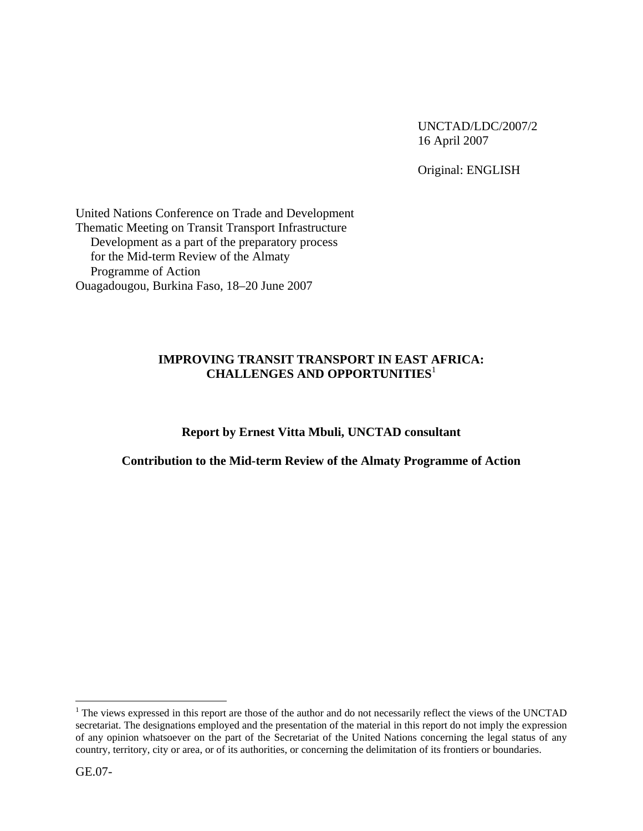UNCTAD/LDC/2007/2 16 April 2007

Original: ENGLISH

United Nations Conference on Trade and Development Thematic Meeting on Transit Transport Infrastructure Development as a part of the preparatory process for the Mid-term Review of the Almaty Programme of Action Ouagadougou, Burkina Faso, 18–20 June 2007

### **IMPROVING TRANSIT TRANSPORT IN EAST AFRICA: CHALLENGES AND OPPORTUNITIES**<sup>1</sup>

### **Report by Ernest Vitta Mbuli, UNCTAD consultant**

### **Contribution to the Mid-term Review of the Almaty Programme of Action**

<u>.</u>

 $<sup>1</sup>$  The views expressed in this report are those of the author and do not necessarily reflect the views of the UNCTAD</sup> secretariat. The designations employed and the presentation of the material in this report do not imply the expression of any opinion whatsoever on the part of the Secretariat of the United Nations concerning the legal status of any country, territory, city or area, or of its authorities, or concerning the delimitation of its frontiers or boundaries.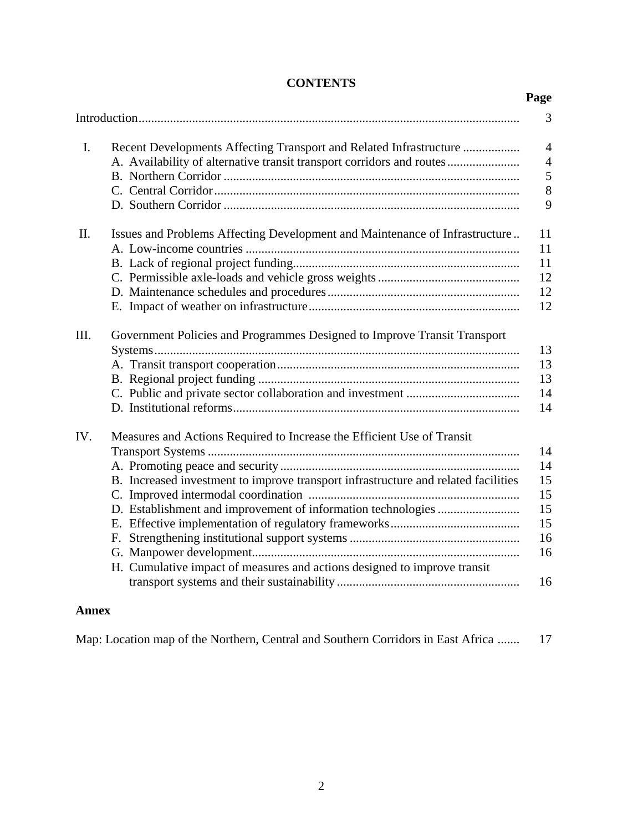|             |                                                                                                                                                                                                                                          | Page                                               |
|-------------|------------------------------------------------------------------------------------------------------------------------------------------------------------------------------------------------------------------------------------------|----------------------------------------------------|
|             |                                                                                                                                                                                                                                          | 3                                                  |
| $I_{\cdot}$ | Recent Developments Affecting Transport and Related Infrastructure<br>A. Availability of alternative transit transport corridors and routes                                                                                              | $\overline{4}$<br>$\overline{4}$<br>5<br>8<br>9    |
| II.         | Issues and Problems Affecting Development and Maintenance of Infrastructure                                                                                                                                                              | 11<br>11<br>11<br>12<br>12<br>12                   |
| III.        | Government Policies and Programmes Designed to Improve Transit Transport                                                                                                                                                                 | 13<br>13<br>13<br>14<br>14                         |
| IV.         | Measures and Actions Required to Increase the Efficient Use of Transit<br>B. Increased investment to improve transport infrastructure and related facilities<br>H. Cumulative impact of measures and actions designed to improve transit | 14<br>14<br>15<br>15<br>15<br>15<br>16<br>16<br>16 |

# **CONTENTS**

## **Annex**

Map: Location map of the Northern, Central and Southern Corridors in East Africa ....... 17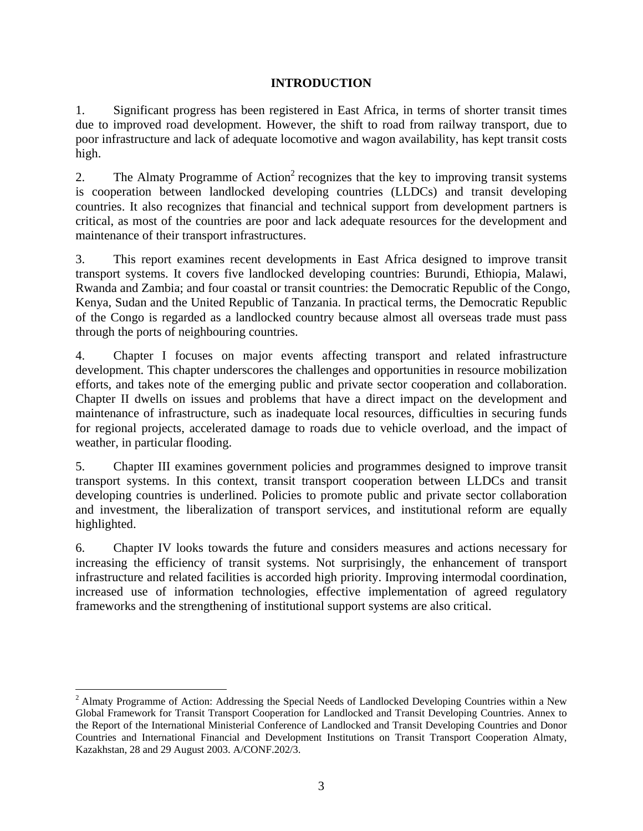## **INTRODUCTION**

1. Significant progress has been registered in East Africa, in terms of shorter transit times due to improved road development. However, the shift to road from railway transport, due to poor infrastructure and lack of adequate locomotive and wagon availability, has kept transit costs high.

2. The Almaty Programme of Action<sup>2</sup> recognizes that the key to improving transit systems is cooperation between landlocked developing countries (LLDCs) and transit developing countries. It also recognizes that financial and technical support from development partners is critical, as most of the countries are poor and lack adequate resources for the development and maintenance of their transport infrastructures.

3. This report examines recent developments in East Africa designed to improve transit transport systems. It covers five landlocked developing countries: Burundi, Ethiopia, Malawi, Rwanda and Zambia; and four coastal or transit countries: the Democratic Republic of the Congo, Kenya, Sudan and the United Republic of Tanzania. In practical terms, the Democratic Republic of the Congo is regarded as a landlocked country because almost all overseas trade must pass through the ports of neighbouring countries.

4. Chapter I focuses on major events affecting transport and related infrastructure development. This chapter underscores the challenges and opportunities in resource mobilization efforts, and takes note of the emerging public and private sector cooperation and collaboration. Chapter II dwells on issues and problems that have a direct impact on the development and maintenance of infrastructure, such as inadequate local resources, difficulties in securing funds for regional projects, accelerated damage to roads due to vehicle overload, and the impact of weather, in particular flooding.

5. Chapter III examines government policies and programmes designed to improve transit transport systems. In this context, transit transport cooperation between LLDCs and transit developing countries is underlined. Policies to promote public and private sector collaboration and investment, the liberalization of transport services, and institutional reform are equally highlighted.

6. Chapter IV looks towards the future and considers measures and actions necessary for increasing the efficiency of transit systems. Not surprisingly, the enhancement of transport infrastructure and related facilities is accorded high priority. Improving intermodal coordination, increased use of information technologies, effective implementation of agreed regulatory frameworks and the strengthening of institutional support systems are also critical.

1

<sup>&</sup>lt;sup>2</sup> Almaty Programme of Action: Addressing the Special Needs of Landlocked Developing Countries within a New Global Framework for Transit Transport Cooperation for Landlocked and Transit Developing Countries. Annex to the Report of the International Ministerial Conference of Landlocked and Transit Developing Countries and Donor Countries and International Financial and Development Institutions on Transit Transport Cooperation Almaty, Kazakhstan, 28 and 29 August 2003. A/CONF.202/3.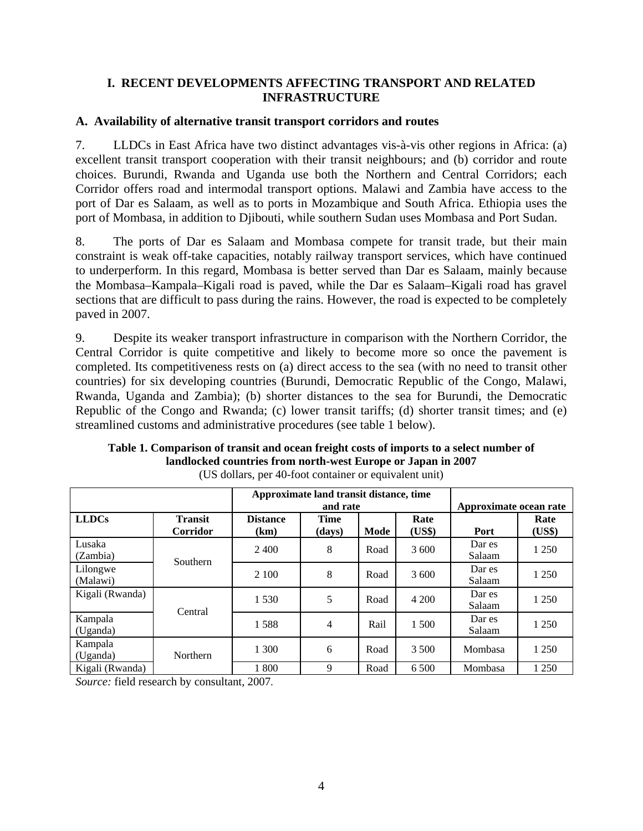### **I. RECENT DEVELOPMENTS AFFECTING TRANSPORT AND RELATED INFRASTRUCTURE**

### **A. Availability of alternative transit transport corridors and routes**

7. LLDCs in East Africa have two distinct advantages vis-à-vis other regions in Africa: (a) excellent transit transport cooperation with their transit neighbours; and (b) corridor and route choices. Burundi, Rwanda and Uganda use both the Northern and Central Corridors; each Corridor offers road and intermodal transport options. Malawi and Zambia have access to the port of Dar es Salaam, as well as to ports in Mozambique and South Africa. Ethiopia uses the port of Mombasa, in addition to Djibouti, while southern Sudan uses Mombasa and Port Sudan.

8. The ports of Dar es Salaam and Mombasa compete for transit trade, but their main constraint is weak off-take capacities, notably railway transport services, which have continued to underperform. In this regard, Mombasa is better served than Dar es Salaam, mainly because the Mombasa–Kampala–Kigali road is paved, while the Dar es Salaam–Kigali road has gravel sections that are difficult to pass during the rains. However, the road is expected to be completely paved in 2007.

9. Despite its weaker transport infrastructure in comparison with the Northern Corridor, the Central Corridor is quite competitive and likely to become more so once the pavement is completed. Its competitiveness rests on (a) direct access to the sea (with no need to transit other countries) for six developing countries (Burundi, Democratic Republic of the Congo, Malawi, Rwanda, Uganda and Zambia); (b) shorter distances to the sea for Burundi, the Democratic Republic of the Congo and Rwanda; (c) lower transit tariffs; (d) shorter transit times; and (e) streamlined customs and administrative procedures (see table 1 below).

|                      |                            |                         | Approximate land transit distance, time<br>and rate |      |                | Approximate ocean rate |                |
|----------------------|----------------------------|-------------------------|-----------------------------------------------------|------|----------------|------------------------|----------------|
| <b>LLDCs</b>         | <b>Transit</b><br>Corridor | <b>Distance</b><br>(km) | <b>Time</b><br>(days)                               | Mode | Rate<br>(US\$) | Port                   | Rate<br>(US\$) |
| Lusaka<br>(Zambia)   | Southern                   | 2.400                   | 8                                                   | Road | 3 600          | Dar es<br>Salaam       | 1 250          |
| Lilongwe<br>(Malawi) |                            | 2 100                   | 8                                                   | Road | 3 600          | Dar es<br>Salaam       | 1 250          |
| Kigali (Rwanda)      | Central                    | 1 5 3 0                 | 5                                                   | Road | 4 200          | Dar es<br>Salaam       | 1 2 5 0        |
| Kampala<br>(Uganda)  |                            | 1588                    | 4                                                   | Rail | 1 500          | Dar es<br>Salaam       | 1 250          |
| Kampala<br>(Uganda)  | Northern                   | 1 300                   | 6                                                   | Road | 3 500          | Mombasa                | 1 250          |
| Kigali (Rwanda)      |                            | 1 800                   | 9                                                   | Road | 6 500          | Mombasa                | 1 250          |

**Table 1. Comparison of transit and ocean freight costs of imports to a select number of landlocked countries from north-west Europe or Japan in 2007**  (US dollars, per 40-foot container or equivalent unit)

*Source:* field research by consultant, 2007.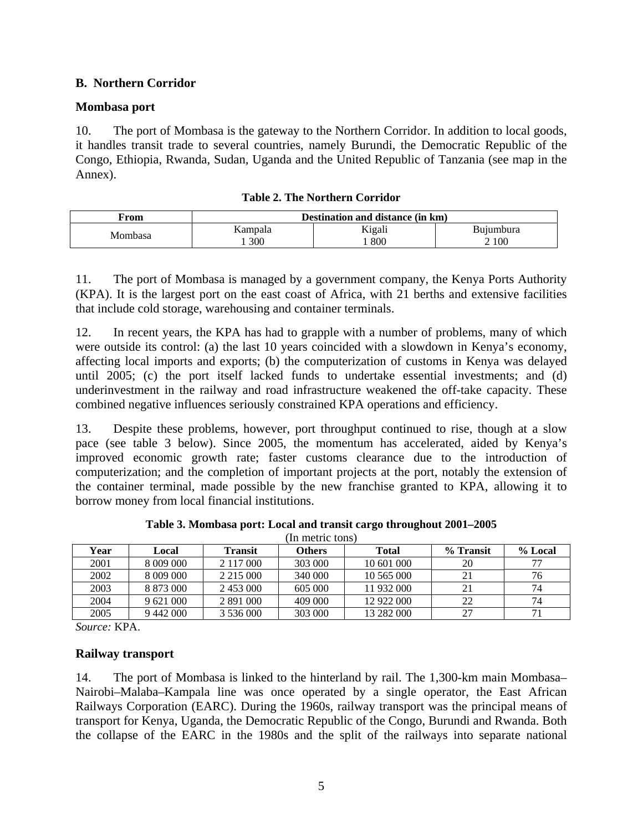## **B. Northern Corridor**

### **Mombasa port**

10. The port of Mombasa is the gateway to the Northern Corridor. In addition to local goods, it handles transit trade to several countries, namely Burundi, the Democratic Republic of the Congo, Ethiopia, Rwanda, Sudan, Uganda and the United Republic of Tanzania (see map in the Annex).

| $\mathbf{From}$ | Destination and distance (in km) |        |           |
|-----------------|----------------------------------|--------|-----------|
| Mombasa         | Kampala                          | Kigali | Buiumbura |
|                 | 300                              | 800    | 2 100     |

|  | <b>Table 2. The Northern Corridor</b> |  |
|--|---------------------------------------|--|
|--|---------------------------------------|--|

11. The port of Mombasa is managed by a government company, the Kenya Ports Authority (KPA). It is the largest port on the east coast of Africa, with 21 berths and extensive facilities that include cold storage, warehousing and container terminals.

12. In recent years, the KPA has had to grapple with a number of problems, many of which were outside its control: (a) the last 10 years coincided with a slowdown in Kenya's economy, affecting local imports and exports; (b) the computerization of customs in Kenya was delayed until 2005; (c) the port itself lacked funds to undertake essential investments; and (d) underinvestment in the railway and road infrastructure weakened the off-take capacity. These combined negative influences seriously constrained KPA operations and efficiency.

13. Despite these problems, however, port throughput continued to rise, though at a slow pace (see table 3 below). Since 2005, the momentum has accelerated, aided by Kenya's improved economic growth rate; faster customs clearance due to the introduction of computerization; and the completion of important projects at the port, notably the extension of the container terminal, made possible by the new franchise granted to KPA, allowing it to borrow money from local financial institutions.

|      |           |                | In metric tons) |              |           |         |
|------|-----------|----------------|-----------------|--------------|-----------|---------|
| Year | Local     | <b>Transit</b> | <b>Others</b>   | <b>Total</b> | % Transit | % Local |
| 2001 | 8 009 000 | 2 1 1 7 0 0 0  | 303 000         | 10 601 000   | 20        |         |
| 2002 | 8 009 000 | 2 2 1 5 0 0 0  | 340 000         | 10 565 000   | 21        | 76      |
| 2003 | 8 873 000 | 2453000        | 605 000         | 11 932 000   |           | 74      |
| 2004 | 9 621 000 | 2 891 000      | 409 000         | 12 922 000   | 22        | 74      |
| 2005 | 9 442 000 | 3 536 000      | 303 000         | 13 282 000   | 27        | 71      |

**Table 3. Mombasa port: Local and transit cargo throughout 2001–2005** 

*Source:* KPA.

### **Railway transport**

14. The port of Mombasa is linked to the hinterland by rail. The 1,300-km main Mombasa– Nairobi–Malaba–Kampala line was once operated by a single operator, the East African Railways Corporation (EARC). During the 1960s, railway transport was the principal means of transport for Kenya, Uganda, the Democratic Republic of the Congo, Burundi and Rwanda. Both the collapse of the EARC in the 1980s and the split of the railways into separate national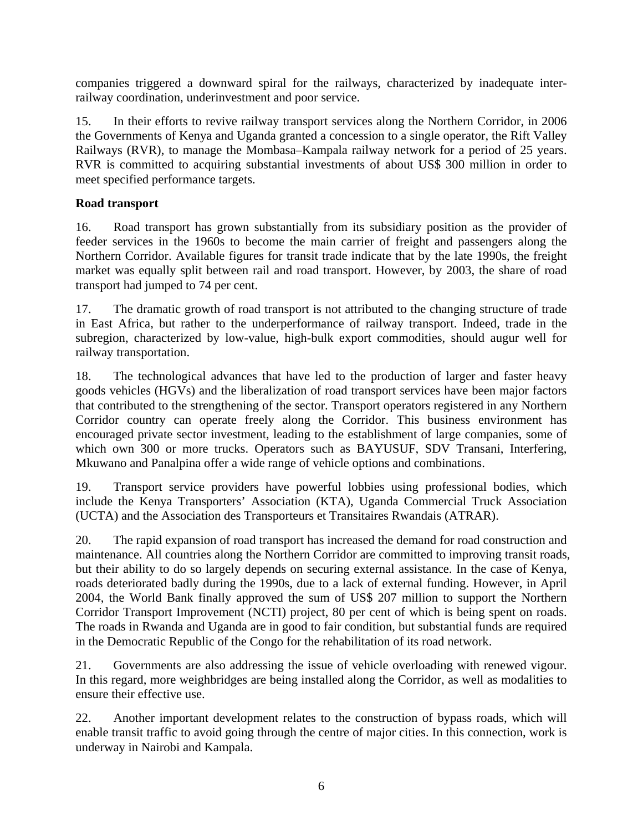companies triggered a downward spiral for the railways, characterized by inadequate interrailway coordination, underinvestment and poor service.

15. In their efforts to revive railway transport services along the Northern Corridor, in 2006 the Governments of Kenya and Uganda granted a concession to a single operator, the Rift Valley Railways (RVR), to manage the Mombasa–Kampala railway network for a period of 25 years. RVR is committed to acquiring substantial investments of about US\$ 300 million in order to meet specified performance targets.

## **Road transport**

16. Road transport has grown substantially from its subsidiary position as the provider of feeder services in the 1960s to become the main carrier of freight and passengers along the Northern Corridor. Available figures for transit trade indicate that by the late 1990s, the freight market was equally split between rail and road transport. However, by 2003, the share of road transport had jumped to 74 per cent.

17. The dramatic growth of road transport is not attributed to the changing structure of trade in East Africa, but rather to the underperformance of railway transport. Indeed, trade in the subregion, characterized by low-value, high-bulk export commodities, should augur well for railway transportation.

18. The technological advances that have led to the production of larger and faster heavy goods vehicles (HGVs) and the liberalization of road transport services have been major factors that contributed to the strengthening of the sector. Transport operators registered in any Northern Corridor country can operate freely along the Corridor. This business environment has encouraged private sector investment, leading to the establishment of large companies, some of which own 300 or more trucks. Operators such as BAYUSUF, SDV Transani, Interfering, Mkuwano and Panalpina offer a wide range of vehicle options and combinations.

19. Transport service providers have powerful lobbies using professional bodies, which include the Kenya Transporters' Association (KTA), Uganda Commercial Truck Association (UCTA) and the Association des Transporteurs et Transitaires Rwandais (ATRAR).

20. The rapid expansion of road transport has increased the demand for road construction and maintenance. All countries along the Northern Corridor are committed to improving transit roads, but their ability to do so largely depends on securing external assistance. In the case of Kenya, roads deteriorated badly during the 1990s, due to a lack of external funding. However, in April 2004, the World Bank finally approved the sum of US\$ 207 million to support the Northern Corridor Transport Improvement (NCTI) project, 80 per cent of which is being spent on roads. The roads in Rwanda and Uganda are in good to fair condition, but substantial funds are required in the Democratic Republic of the Congo for the rehabilitation of its road network.

21. Governments are also addressing the issue of vehicle overloading with renewed vigour. In this regard, more weighbridges are being installed along the Corridor, as well as modalities to ensure their effective use.

22. Another important development relates to the construction of bypass roads, which will enable transit traffic to avoid going through the centre of major cities. In this connection, work is underway in Nairobi and Kampala.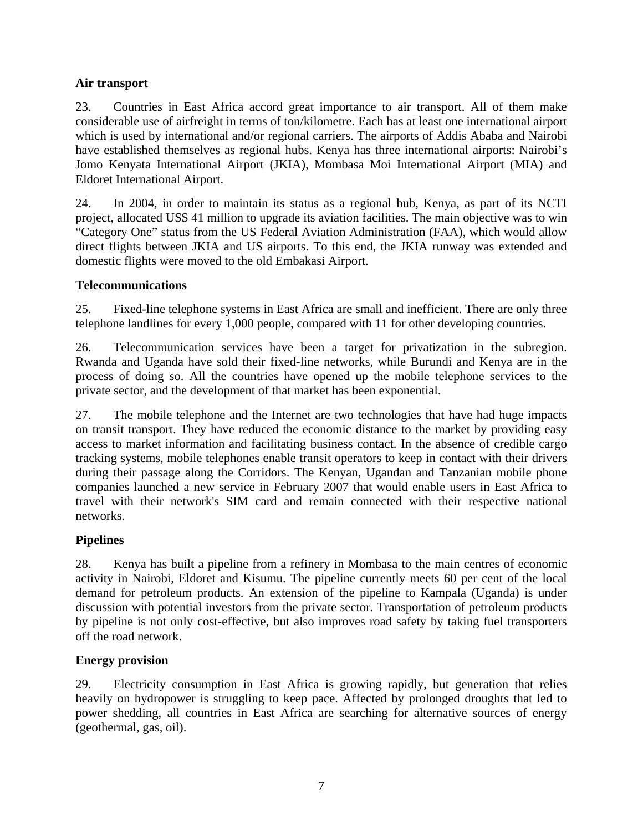# **Air transport**

23. Countries in East Africa accord great importance to air transport. All of them make considerable use of airfreight in terms of ton/kilometre. Each has at least one international airport which is used by international and/or regional carriers. The airports of Addis Ababa and Nairobi have established themselves as regional hubs. Kenya has three international airports: Nairobi's Jomo Kenyata International Airport (JKIA), Mombasa Moi International Airport (MIA) and Eldoret International Airport.

24. In 2004, in order to maintain its status as a regional hub, Kenya, as part of its NCTI project, allocated US\$ 41 million to upgrade its aviation facilities. The main objective was to win "Category One" status from the US Federal Aviation Administration (FAA), which would allow direct flights between JKIA and US airports. To this end, the JKIA runway was extended and domestic flights were moved to the old Embakasi Airport.

# **Telecommunications**

25. Fixed-line telephone systems in East Africa are small and inefficient. There are only three telephone landlines for every 1,000 people, compared with 11 for other developing countries.

26. Telecommunication services have been a target for privatization in the subregion. Rwanda and Uganda have sold their fixed-line networks, while Burundi and Kenya are in the process of doing so. All the countries have opened up the mobile telephone services to the private sector, and the development of that market has been exponential.

27. The mobile telephone and the Internet are two technologies that have had huge impacts on transit transport. They have reduced the economic distance to the market by providing easy access to market information and facilitating business contact. In the absence of credible cargo tracking systems, mobile telephones enable transit operators to keep in contact with their drivers during their passage along the Corridors. The Kenyan, Ugandan and Tanzanian mobile phone companies launched a new service in February 2007 that would enable users in East Africa to travel with their network's SIM card and remain connected with their respective national networks.

# **Pipelines**

28. Kenya has built a pipeline from a refinery in Mombasa to the main centres of economic activity in Nairobi, Eldoret and Kisumu. The pipeline currently meets 60 per cent of the local demand for petroleum products. An extension of the pipeline to Kampala (Uganda) is under discussion with potential investors from the private sector. Transportation of petroleum products by pipeline is not only cost-effective, but also improves road safety by taking fuel transporters off the road network.

# **Energy provision**

29. Electricity consumption in East Africa is growing rapidly, but generation that relies heavily on hydropower is struggling to keep pace. Affected by prolonged droughts that led to power shedding, all countries in East Africa are searching for alternative sources of energy (geothermal, gas, oil).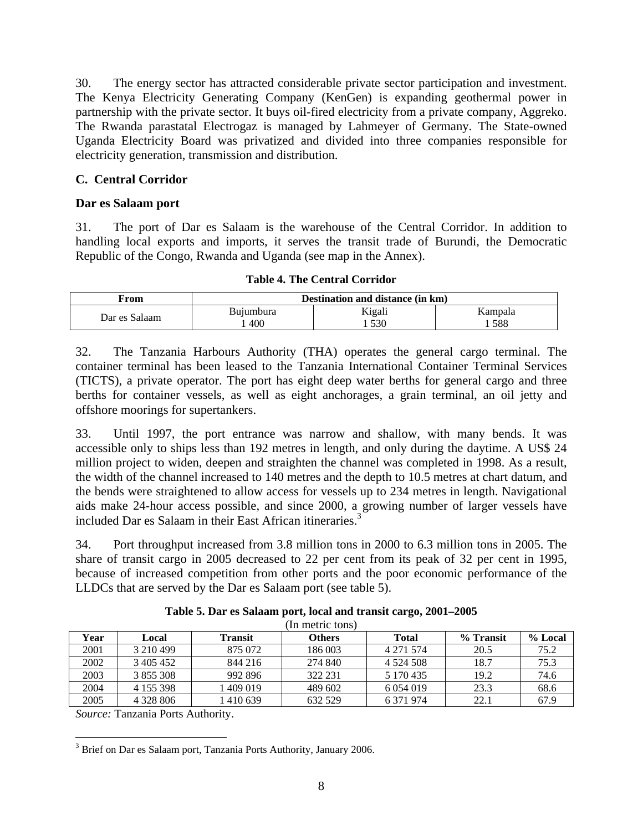30. The energy sector has attracted considerable private sector participation and investment. The Kenya Electricity Generating Company (KenGen) is expanding geothermal power in partnership with the private sector. It buys oil-fired electricity from a private company, Aggreko. The Rwanda parastatal Electrogaz is managed by Lahmeyer of Germany. The State-owned Uganda Electricity Board was privatized and divided into three companies responsible for electricity generation, transmission and distribution.

## **C. Central Corridor**

### **Dar es Salaam port**

31. The port of Dar es Salaam is the warehouse of the Central Corridor. In addition to handling local exports and imports, it serves the transit trade of Burundi, the Democratic Republic of the Congo, Rwanda and Uganda (see map in the Annex).

|  | <b>Table 4. The Central Corridor</b> |
|--|--------------------------------------|
|  |                                      |

| From          | Destination and distance (in km) |        |         |
|---------------|----------------------------------|--------|---------|
| Dar es Salaam | Buiumbura                        | Kigali | Kampala |
|               | 400                              | 530    | 588     |

32. The Tanzania Harbours Authority (THA) operates the general cargo terminal. The container terminal has been leased to the Tanzania International Container Terminal Services (TICTS), a private operator. The port has eight deep water berths for general cargo and three berths for container vessels, as well as eight anchorages, a grain terminal, an oil jetty and offshore moorings for supertankers.

33. Until 1997, the port entrance was narrow and shallow, with many bends. It was accessible only to ships less than 192 metres in length, and only during the daytime. A US\$ 24 million project to widen, deepen and straighten the channel was completed in 1998. As a result, the width of the channel increased to 140 metres and the depth to 10.5 metres at chart datum, and the bends were straightened to allow access for vessels up to 234 metres in length. Navigational aids make 24-hour access possible, and since 2000, a growing number of larger vessels have included Dar es Salaam in their East African itineraries.<sup>3</sup>

34. Port throughput increased from 3.8 million tons in 2000 to 6.3 million tons in 2005. The share of transit cargo in 2005 decreased to 22 per cent from its peak of 32 per cent in 1995, because of increased competition from other ports and the poor economic performance of the LLDCs that are served by the Dar es Salaam port (see table 5).

| Year | Local         | Transit   | <b>Others</b> | <b>Total</b> | % Transit | % Local |
|------|---------------|-----------|---------------|--------------|-----------|---------|
| 2001 | 3 210 499     | 875 072   | 186 003       | 4 271 574    | 20.5      | 75.2    |
| 2002 | 3405452       | 844 216   | 274 840       | 4 5 24 5 0 8 | 18.7      | 75.3    |
| 2003 | 3 855 308     | 992 896   | 322 231       | 5 170 435    | 19.2      | 74.6    |
| 2004 | 4 155 398     | 409 019   | 489 602       | 6 0 54 0 19  | 23.3      | 68.6    |
| 2005 | 4 3 2 8 8 0 6 | 1 410 639 | 632 529       | 6 371 974    | 22.7      | 67.9    |

**Table 5. Dar es Salaam port, local and transit cargo, 2001–2005**   $($ In motric tons $)$ 

*Source:* Tanzania Ports Authority.

 $\overline{a}$ 

<sup>3</sup> Brief on Dar es Salaam port, Tanzania Ports Authority, January 2006.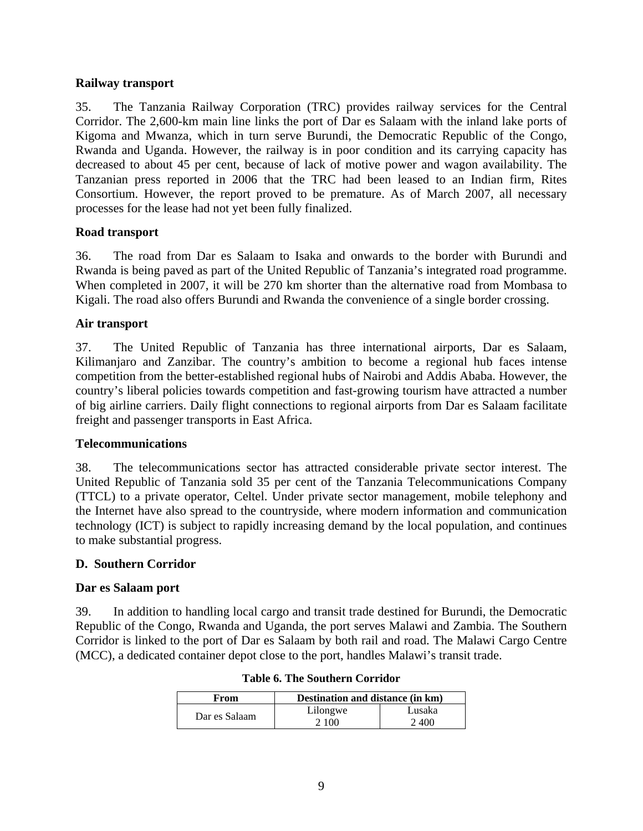### **Railway transport**

35. The Tanzania Railway Corporation (TRC) provides railway services for the Central Corridor. The 2,600-km main line links the port of Dar es Salaam with the inland lake ports of Kigoma and Mwanza, which in turn serve Burundi, the Democratic Republic of the Congo, Rwanda and Uganda. However, the railway is in poor condition and its carrying capacity has decreased to about 45 per cent, because of lack of motive power and wagon availability. The Tanzanian press reported in 2006 that the TRC had been leased to an Indian firm, Rites Consortium. However, the report proved to be premature. As of March 2007, all necessary processes for the lease had not yet been fully finalized.

### **Road transport**

36. The road from Dar es Salaam to Isaka and onwards to the border with Burundi and Rwanda is being paved as part of the United Republic of Tanzania's integrated road programme. When completed in 2007, it will be 270 km shorter than the alternative road from Mombasa to Kigali. The road also offers Burundi and Rwanda the convenience of a single border crossing.

### **Air transport**

37. The United Republic of Tanzania has three international airports, Dar es Salaam, Kilimanjaro and Zanzibar. The country's ambition to become a regional hub faces intense competition from the better-established regional hubs of Nairobi and Addis Ababa. However, the country's liberal policies towards competition and fast-growing tourism have attracted a number of big airline carriers. Daily flight connections to regional airports from Dar es Salaam facilitate freight and passenger transports in East Africa.

#### **Telecommunications**

38. The telecommunications sector has attracted considerable private sector interest. The United Republic of Tanzania sold 35 per cent of the Tanzania Telecommunications Company (TTCL) to a private operator, Celtel. Under private sector management, mobile telephony and the Internet have also spread to the countryside, where modern information and communication technology (ICT) is subject to rapidly increasing demand by the local population, and continues to make substantial progress.

#### **D. Southern Corridor**

### **Dar es Salaam port**

39. In addition to handling local cargo and transit trade destined for Burundi, the Democratic Republic of the Congo, Rwanda and Uganda, the port serves Malawi and Zambia. The Southern Corridor is linked to the port of Dar es Salaam by both rail and road. The Malawi Cargo Centre (MCC), a dedicated container depot close to the port, handles Malawi's transit trade.

| From          | Destination and distance (in km) |        |
|---------------|----------------------------------|--------|
|               | Lilongwe                         | Lusaka |
| Dar es Salaam | 2 100                            | 2.400  |

#### **Table 6. The Southern Corridor**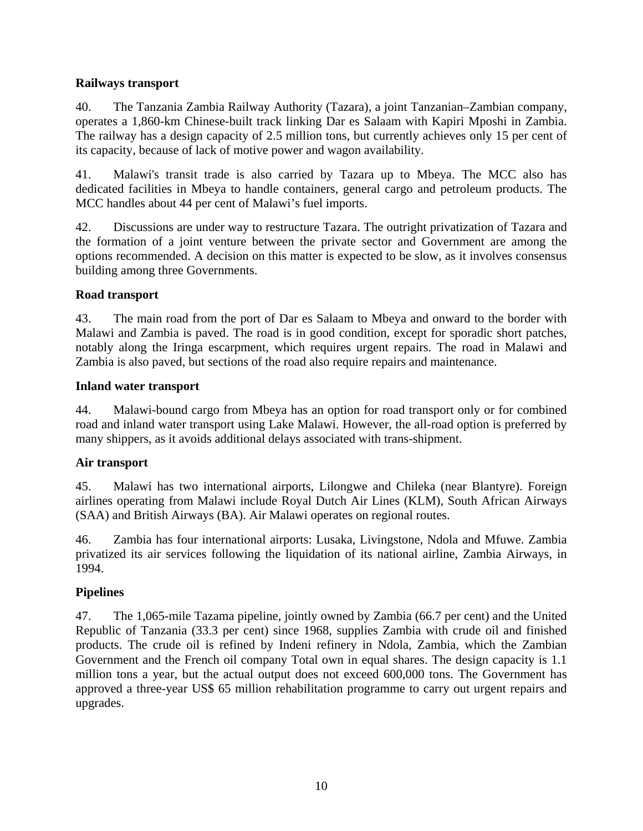# **Railways transport**

40. The Tanzania Zambia Railway Authority (Tazara), a joint Tanzanian–Zambian company, operates a 1,860-km Chinese-built track linking Dar es Salaam with Kapiri Mposhi in Zambia. The railway has a design capacity of 2.5 million tons, but currently achieves only 15 per cent of its capacity, because of lack of motive power and wagon availability.

41. Malawi's transit trade is also carried by Tazara up to Mbeya. The MCC also has dedicated facilities in Mbeya to handle containers, general cargo and petroleum products. The MCC handles about 44 per cent of Malawi's fuel imports.

42. Discussions are under way to restructure Tazara. The outright privatization of Tazara and the formation of a joint venture between the private sector and Government are among the options recommended. A decision on this matter is expected to be slow, as it involves consensus building among three Governments.

# **Road transport**

43. The main road from the port of Dar es Salaam to Mbeya and onward to the border with Malawi and Zambia is paved. The road is in good condition, except for sporadic short patches, notably along the Iringa escarpment, which requires urgent repairs. The road in Malawi and Zambia is also paved, but sections of the road also require repairs and maintenance.

# **Inland water transport**

44. Malawi-bound cargo from Mbeya has an option for road transport only or for combined road and inland water transport using Lake Malawi. However, the all-road option is preferred by many shippers, as it avoids additional delays associated with trans-shipment.

# **Air transport**

45. Malawi has two international airports, Lilongwe and Chileka (near Blantyre). Foreign airlines operating from Malawi include Royal Dutch Air Lines (KLM), South African Airways (SAA) and British Airways (BA). Air Malawi operates on regional routes.

46. Zambia has four international airports: Lusaka, Livingstone, Ndola and Mfuwe. Zambia privatized its air services following the liquidation of its national airline, Zambia Airways, in 1994.

# **Pipelines**

47. The 1,065-mile Tazama pipeline, jointly owned by Zambia (66.7 per cent) and the United Republic of Tanzania (33.3 per cent) since 1968, supplies Zambia with crude oil and finished products. The crude oil is refined by Indeni refinery in Ndola, Zambia, which the Zambian Government and the French oil company Total own in equal shares. The design capacity is 1.1 million tons a year, but the actual output does not exceed 600,000 tons. The Government has approved a three-year US\$ 65 million rehabilitation programme to carry out urgent repairs and upgrades.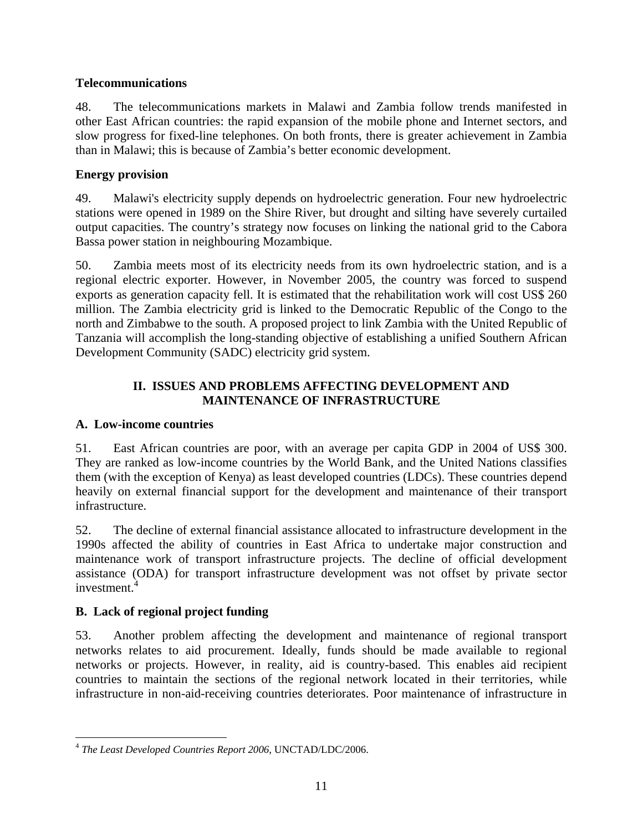## **Telecommunications**

48. The telecommunications markets in Malawi and Zambia follow trends manifested in other East African countries: the rapid expansion of the mobile phone and Internet sectors, and slow progress for fixed-line telephones. On both fronts, there is greater achievement in Zambia than in Malawi; this is because of Zambia's better economic development.

## **Energy provision**

49. Malawi's electricity supply depends on hydroelectric generation. Four new hydroelectric stations were opened in 1989 on the Shire River, but drought and silting have severely curtailed output capacities. The country's strategy now focuses on linking the national grid to the Cabora Bassa power station in neighbouring Mozambique.

50. Zambia meets most of its electricity needs from its own hydroelectric station, and is a regional electric exporter. However, in November 2005, the country was forced to suspend exports as generation capacity fell. It is estimated that the rehabilitation work will cost US\$ 260 million. The Zambia electricity grid is linked to the Democratic Republic of the Congo to the north and Zimbabwe to the south. A proposed project to link Zambia with the United Republic of Tanzania will accomplish the long-standing objective of establishing a unified Southern African Development Community (SADC) electricity grid system.

## **II. ISSUES AND PROBLEMS AFFECTING DEVELOPMENT AND MAINTENANCE OF INFRASTRUCTURE**

### **A. Low-income countries**

51. East African countries are poor, with an average per capita GDP in 2004 of US\$ 300. They are ranked as low-income countries by the World Bank, and the United Nations classifies them (with the exception of Kenya) as least developed countries (LDCs). These countries depend heavily on external financial support for the development and maintenance of their transport infrastructure.

52. The decline of external financial assistance allocated to infrastructure development in the 1990s affected the ability of countries in East Africa to undertake major construction and maintenance work of transport infrastructure projects. The decline of official development assistance (ODA) for transport infrastructure development was not offset by private sector investment.<sup>4</sup>

# **B. Lack of regional project funding**

53. Another problem affecting the development and maintenance of regional transport networks relates to aid procurement. Ideally, funds should be made available to regional networks or projects. However, in reality, aid is country-based. This enables aid recipient countries to maintain the sections of the regional network located in their territories, while infrastructure in non-aid-receiving countries deteriorates. Poor maintenance of infrastructure in

 $\overline{a}$ <sup>4</sup> *The Least Developed Countries Report 2006*, UNCTAD/LDC/2006.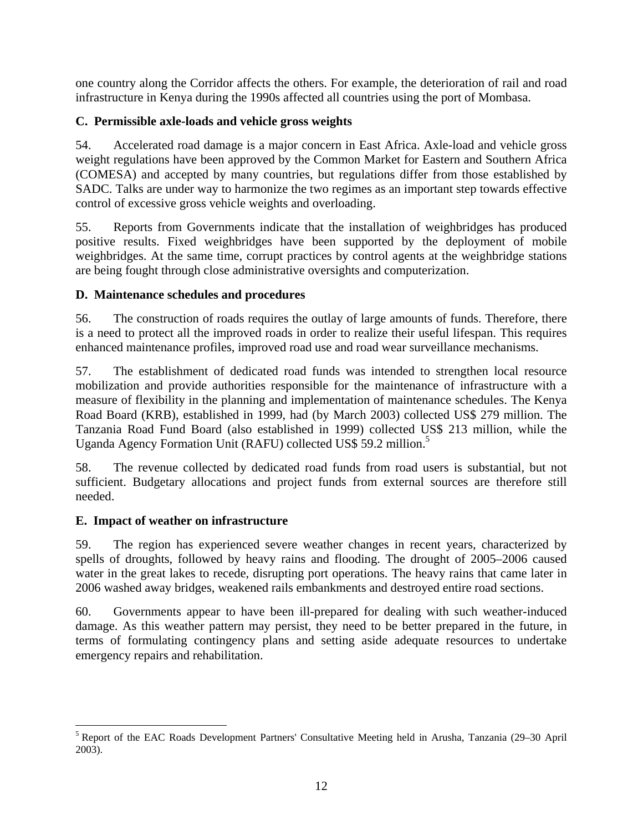one country along the Corridor affects the others. For example, the deterioration of rail and road infrastructure in Kenya during the 1990s affected all countries using the port of Mombasa.

# **C. Permissible axle-loads and vehicle gross weights**

54. Accelerated road damage is a major concern in East Africa. Axle-load and vehicle gross weight regulations have been approved by the Common Market for Eastern and Southern Africa (COMESA) and accepted by many countries, but regulations differ from those established by SADC. Talks are under way to harmonize the two regimes as an important step towards effective control of excessive gross vehicle weights and overloading.

55. Reports from Governments indicate that the installation of weighbridges has produced positive results. Fixed weighbridges have been supported by the deployment of mobile weighbridges. At the same time, corrupt practices by control agents at the weighbridge stations are being fought through close administrative oversights and computerization.

# **D. Maintenance schedules and procedures**

56. The construction of roads requires the outlay of large amounts of funds. Therefore, there is a need to protect all the improved roads in order to realize their useful lifespan. This requires enhanced maintenance profiles, improved road use and road wear surveillance mechanisms.

57. The establishment of dedicated road funds was intended to strengthen local resource mobilization and provide authorities responsible for the maintenance of infrastructure with a measure of flexibility in the planning and implementation of maintenance schedules. The Kenya Road Board (KRB), established in 1999, had (by March 2003) collected US\$ 279 million. The Tanzania Road Fund Board (also established in 1999) collected US\$ 213 million, while the Uganda Agency Formation Unit (RAFU) collected US\$ 59.2 million.<sup>5</sup>

58. The revenue collected by dedicated road funds from road users is substantial, but not sufficient. Budgetary allocations and project funds from external sources are therefore still needed.

# **E. Impact of weather on infrastructure**

 $\overline{a}$ 

59. The region has experienced severe weather changes in recent years, characterized by spells of droughts, followed by heavy rains and flooding. The drought of 2005–2006 caused water in the great lakes to recede, disrupting port operations. The heavy rains that came later in 2006 washed away bridges, weakened rails embankments and destroyed entire road sections.

60. Governments appear to have been ill-prepared for dealing with such weather-induced damage. As this weather pattern may persist, they need to be better prepared in the future, in terms of formulating contingency plans and setting aside adequate resources to undertake emergency repairs and rehabilitation.

<sup>&</sup>lt;sup>5</sup> Report of the EAC Roads Development Partners' Consultative Meeting held in Arusha, Tanzania (29–30 April 2003).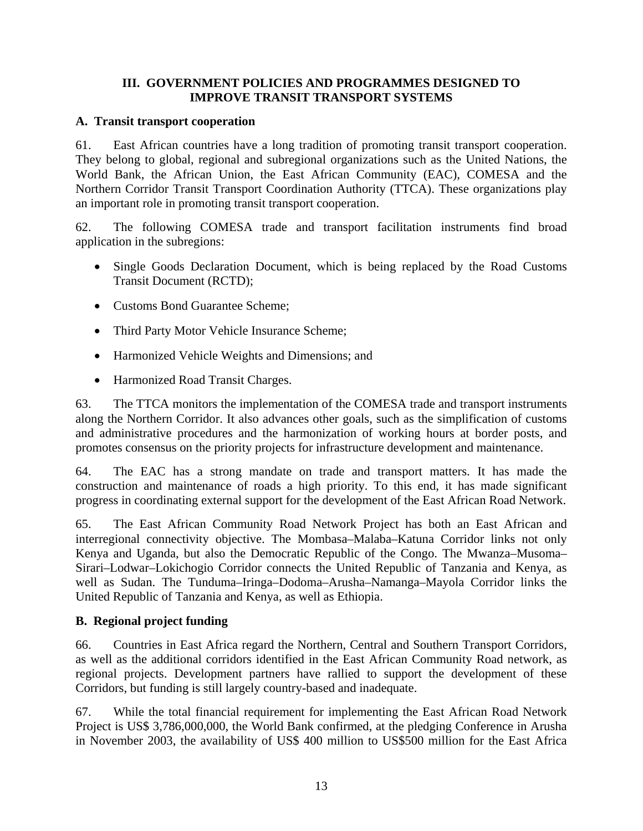## **III. GOVERNMENT POLICIES AND PROGRAMMES DESIGNED TO IMPROVE TRANSIT TRANSPORT SYSTEMS**

### **A. Transit transport cooperation**

61. East African countries have a long tradition of promoting transit transport cooperation. They belong to global, regional and subregional organizations such as the United Nations, the World Bank, the African Union, the East African Community (EAC), COMESA and the Northern Corridor Transit Transport Coordination Authority (TTCA). These organizations play an important role in promoting transit transport cooperation.

62. The following COMESA trade and transport facilitation instruments find broad application in the subregions:

- Single Goods Declaration Document, which is being replaced by the Road Customs Transit Document (RCTD);
- Customs Bond Guarantee Scheme;
- Third Party Motor Vehicle Insurance Scheme;
- Harmonized Vehicle Weights and Dimensions; and
- Harmonized Road Transit Charges.

63. The TTCA monitors the implementation of the COMESA trade and transport instruments along the Northern Corridor. It also advances other goals, such as the simplification of customs and administrative procedures and the harmonization of working hours at border posts, and promotes consensus on the priority projects for infrastructure development and maintenance.

64. The EAC has a strong mandate on trade and transport matters. It has made the construction and maintenance of roads a high priority. To this end, it has made significant progress in coordinating external support for the development of the East African Road Network.

65. The East African Community Road Network Project has both an East African and interregional connectivity objective. The Mombasa–Malaba–Katuna Corridor links not only Kenya and Uganda, but also the Democratic Republic of the Congo. The Mwanza–Musoma– Sirari–Lodwar–Lokichogio Corridor connects the United Republic of Tanzania and Kenya, as well as Sudan. The Tunduma–Iringa–Dodoma–Arusha–Namanga–Mayola Corridor links the United Republic of Tanzania and Kenya, as well as Ethiopia.

# **B. Regional project funding**

66. Countries in East Africa regard the Northern, Central and Southern Transport Corridors, as well as the additional corridors identified in the East African Community Road network, as regional projects. Development partners have rallied to support the development of these Corridors, but funding is still largely country-based and inadequate.

67. While the total financial requirement for implementing the East African Road Network Project is US\$ 3,786,000,000, the World Bank confirmed, at the pledging Conference in Arusha in November 2003, the availability of US\$ 400 million to US\$500 million for the East Africa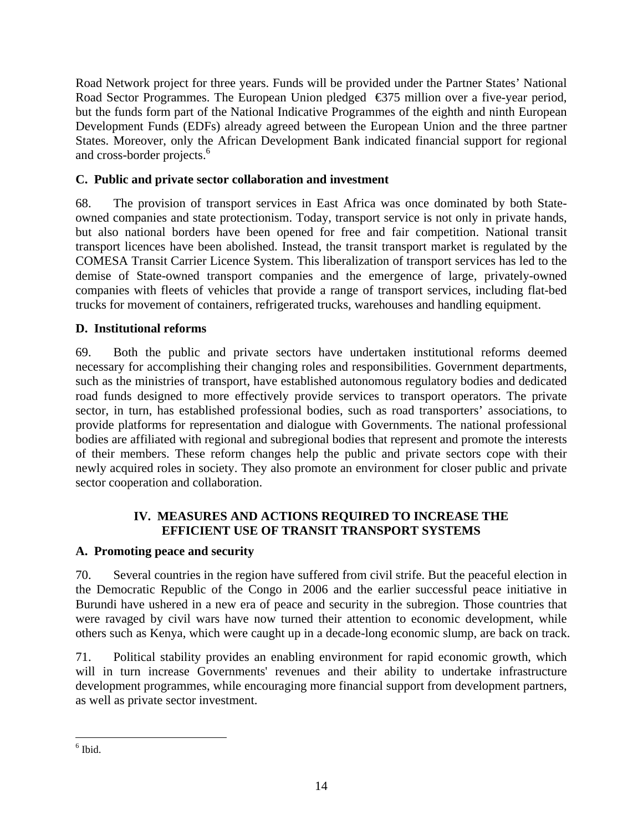Road Network project for three years. Funds will be provided under the Partner States' National Road Sector Programmes. The European Union pledged €375 million over a five-year period, but the funds form part of the National Indicative Programmes of the eighth and ninth European Development Funds (EDFs) already agreed between the European Union and the three partner States. Moreover, only the African Development Bank indicated financial support for regional and cross-border projects.<sup>6</sup>

# **C. Public and private sector collaboration and investment**

68. The provision of transport services in East Africa was once dominated by both Stateowned companies and state protectionism. Today, transport service is not only in private hands, but also national borders have been opened for free and fair competition. National transit transport licences have been abolished. Instead, the transit transport market is regulated by the COMESA Transit Carrier Licence System. This liberalization of transport services has led to the demise of State-owned transport companies and the emergence of large, privately-owned companies with fleets of vehicles that provide a range of transport services, including flat-bed trucks for movement of containers, refrigerated trucks, warehouses and handling equipment.

# **D. Institutional reforms**

69. Both the public and private sectors have undertaken institutional reforms deemed necessary for accomplishing their changing roles and responsibilities. Government departments, such as the ministries of transport, have established autonomous regulatory bodies and dedicated road funds designed to more effectively provide services to transport operators. The private sector, in turn, has established professional bodies, such as road transporters' associations, to provide platforms for representation and dialogue with Governments. The national professional bodies are affiliated with regional and subregional bodies that represent and promote the interests of their members. These reform changes help the public and private sectors cope with their newly acquired roles in society. They also promote an environment for closer public and private sector cooperation and collaboration.

# **IV. MEASURES AND ACTIONS REQUIRED TO INCREASE THE EFFICIENT USE OF TRANSIT TRANSPORT SYSTEMS**

# **A. Promoting peace and security**

70. Several countries in the region have suffered from civil strife. But the peaceful election in the Democratic Republic of the Congo in 2006 and the earlier successful peace initiative in Burundi have ushered in a new era of peace and security in the subregion. Those countries that were ravaged by civil wars have now turned their attention to economic development, while others such as Kenya, which were caught up in a decade-long economic slump, are back on track.

71. Political stability provides an enabling environment for rapid economic growth, which will in turn increase Governments' revenues and their ability to undertake infrastructure development programmes, while encouraging more financial support from development partners, as well as private sector investment.

 $\overline{a}$  $<sup>6</sup>$  Ibid.</sup>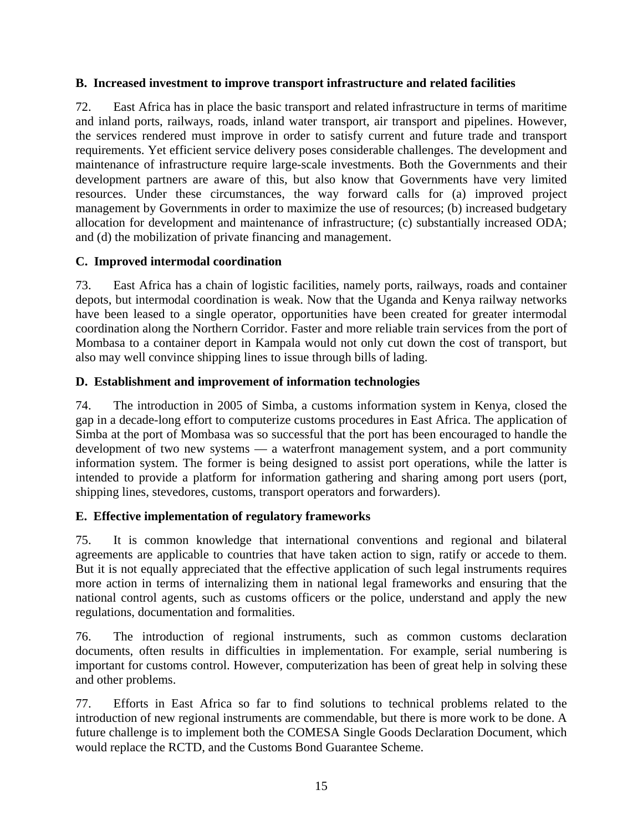## **B. Increased investment to improve transport infrastructure and related facilities**

72. East Africa has in place the basic transport and related infrastructure in terms of maritime and inland ports, railways, roads, inland water transport, air transport and pipelines. However, the services rendered must improve in order to satisfy current and future trade and transport requirements. Yet efficient service delivery poses considerable challenges. The development and maintenance of infrastructure require large-scale investments. Both the Governments and their development partners are aware of this, but also know that Governments have very limited resources. Under these circumstances, the way forward calls for (a) improved project management by Governments in order to maximize the use of resources; (b) increased budgetary allocation for development and maintenance of infrastructure; (c) substantially increased ODA; and (d) the mobilization of private financing and management.

# **C. Improved intermodal coordination**

73. East Africa has a chain of logistic facilities, namely ports, railways, roads and container depots, but intermodal coordination is weak. Now that the Uganda and Kenya railway networks have been leased to a single operator, opportunities have been created for greater intermodal coordination along the Northern Corridor. Faster and more reliable train services from the port of Mombasa to a container deport in Kampala would not only cut down the cost of transport, but also may well convince shipping lines to issue through bills of lading.

# **D. Establishment and improvement of information technologies**

74. The introduction in 2005 of Simba, a customs information system in Kenya, closed the gap in a decade-long effort to computerize customs procedures in East Africa. The application of Simba at the port of Mombasa was so successful that the port has been encouraged to handle the development of two new systems — a waterfront management system, and a port community information system. The former is being designed to assist port operations, while the latter is intended to provide a platform for information gathering and sharing among port users (port, shipping lines, stevedores, customs, transport operators and forwarders).

# **E. Effective implementation of regulatory frameworks**

75. It is common knowledge that international conventions and regional and bilateral agreements are applicable to countries that have taken action to sign, ratify or accede to them. But it is not equally appreciated that the effective application of such legal instruments requires more action in terms of internalizing them in national legal frameworks and ensuring that the national control agents, such as customs officers or the police, understand and apply the new regulations, documentation and formalities.

76. The introduction of regional instruments, such as common customs declaration documents, often results in difficulties in implementation. For example, serial numbering is important for customs control. However, computerization has been of great help in solving these and other problems.

77. Efforts in East Africa so far to find solutions to technical problems related to the introduction of new regional instruments are commendable, but there is more work to be done. A future challenge is to implement both the COMESA Single Goods Declaration Document, which would replace the RCTD, and the Customs Bond Guarantee Scheme.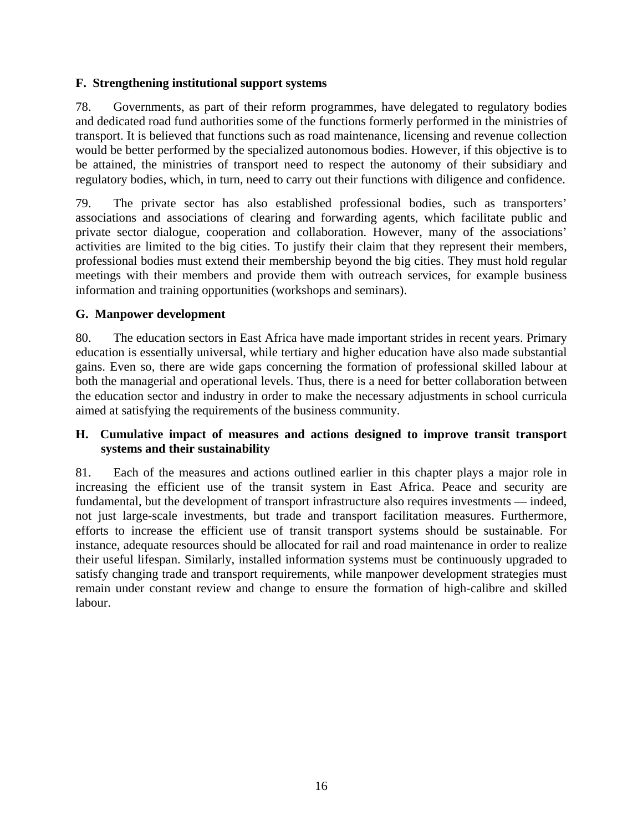## **F. Strengthening institutional support systems**

78. Governments, as part of their reform programmes, have delegated to regulatory bodies and dedicated road fund authorities some of the functions formerly performed in the ministries of transport. It is believed that functions such as road maintenance, licensing and revenue collection would be better performed by the specialized autonomous bodies. However, if this objective is to be attained, the ministries of transport need to respect the autonomy of their subsidiary and regulatory bodies, which, in turn, need to carry out their functions with diligence and confidence.

79. The private sector has also established professional bodies, such as transporters' associations and associations of clearing and forwarding agents, which facilitate public and private sector dialogue, cooperation and collaboration. However, many of the associations' activities are limited to the big cities. To justify their claim that they represent their members, professional bodies must extend their membership beyond the big cities. They must hold regular meetings with their members and provide them with outreach services, for example business information and training opportunities (workshops and seminars).

### **G. Manpower development**

80. The education sectors in East Africa have made important strides in recent years. Primary education is essentially universal, while tertiary and higher education have also made substantial gains. Even so, there are wide gaps concerning the formation of professional skilled labour at both the managerial and operational levels. Thus, there is a need for better collaboration between the education sector and industry in order to make the necessary adjustments in school curricula aimed at satisfying the requirements of the business community.

### **H. Cumulative impact of measures and actions designed to improve transit transport systems and their sustainability**

81. Each of the measures and actions outlined earlier in this chapter plays a major role in increasing the efficient use of the transit system in East Africa. Peace and security are fundamental, but the development of transport infrastructure also requires investments — indeed, not just large-scale investments, but trade and transport facilitation measures. Furthermore, efforts to increase the efficient use of transit transport systems should be sustainable. For instance, adequate resources should be allocated for rail and road maintenance in order to realize their useful lifespan. Similarly, installed information systems must be continuously upgraded to satisfy changing trade and transport requirements, while manpower development strategies must remain under constant review and change to ensure the formation of high-calibre and skilled labour.